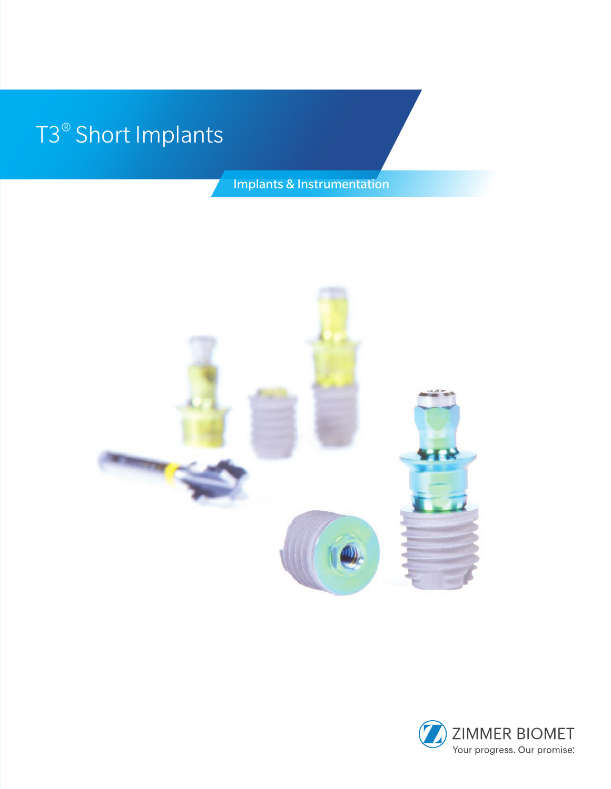# T3® Short Implants

Implants & Instrumentation



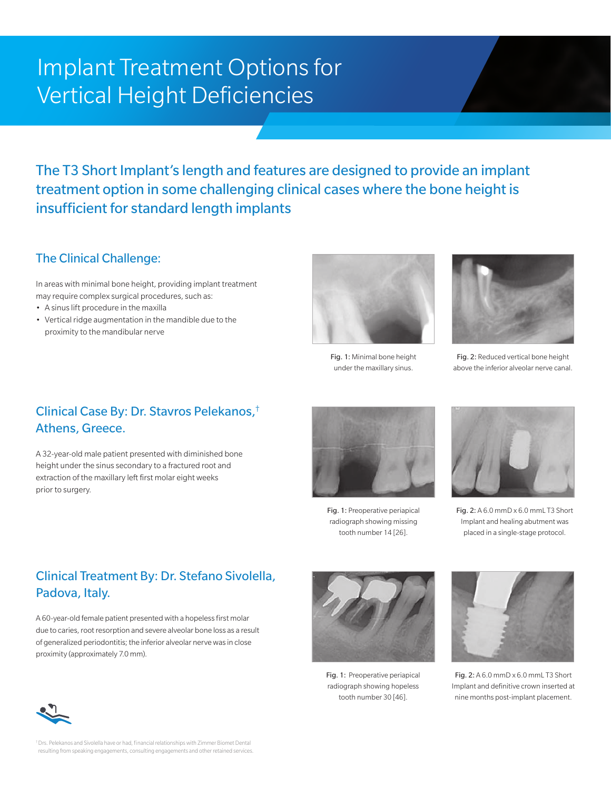## Implant Treatment Options for Vertical Height Deficiencies

The T3 Short Implant's length and features are designed to provide an implant treatment option in some challenging clinical cases where the bone height is insufficient for standard length implants

#### The Clinical Challenge:

In areas with minimal bone height, providing implant treatment may require complex surgical procedures, such as:

- A sinus lift procedure in the maxilla
- Vertical ridge augmentation in the mandible due to the proximity to the mandibular nerve



Fig. 1: Minimal bone height under the maxillary sinus.



Fig. 2: Reduced vertical bone height above the inferior alveolar nerve canal.

#### Clinical Case By: Dr. Stavros Pelekanos,† Athens, Greece.

A 32-year-old male patient presented with diminished bone height under the sinus secondary to a fractured root and extraction of the maxillary left first molar eight weeks prior to surgery.



Fig. 1: Preoperative periapical radiograph showing missing tooth number 14 [26].



Fig. 2: A 6.0 mmD x 6.0 mmL T3 Short Implant and healing abutment was placed in a single-stage protocol.

### Clinical Treatment By: Dr. Stefano Sivolella, Padova, Italy.

A 60-year-old female patient presented with a hopeless first molar due to caries, root resorption and severe alveolar bone loss as a result of generalized periodontitis; the inferior alveolar nerve was in close proximity (approximately 7.0 mm).



Fig. 1: Preoperative periapical radiograph showing hopeless tooth number 30 [46].



Fig. 2: A 6.0 mmD x 6.0 mmL T3 Short Implant and definitive crown inserted at nine months post-implant placement.



† Drs. Pelekanos and Sivolella have or had, financial relationships with Zimmer Biomet Dental resulting from speaking engagements, consulting engagements and other retained services.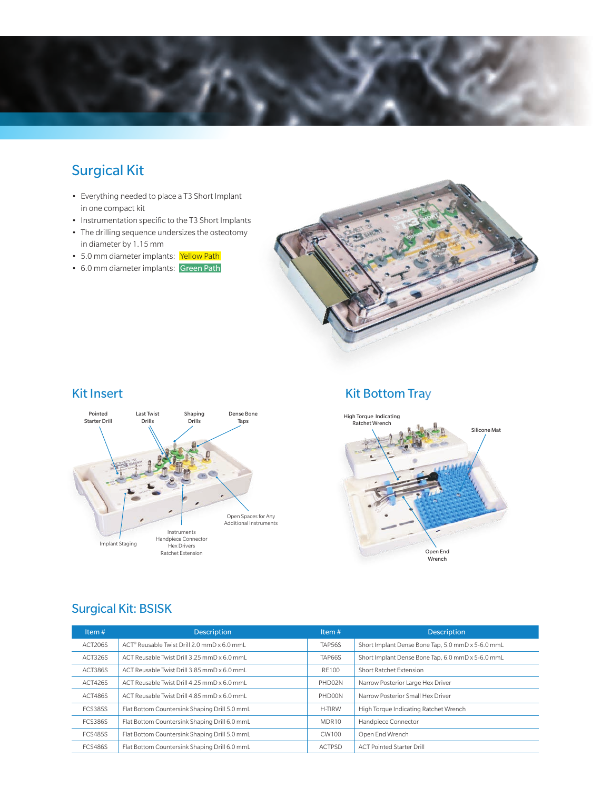

### Surgical Kit

- Everything needed to place a T3 Short Implant in one compact kit
- Instrumentation specific to the T3 Short Implants
- The drilling sequence undersizes the osteotomy in diameter by 1.15 mm
- 5.0 mm diameter implants: Yellow Path
- 6.0 mm diameter implants: Green Path



#### Kit Insert



#### Kit Bottom Tray



#### Surgical Kit: BSISK

| Item $#$       | <b>Description</b>                                      | Item $#$           | <b>Description</b>                                |
|----------------|---------------------------------------------------------|--------------------|---------------------------------------------------|
| ACT206S        | ACT <sup>®</sup> Reusable Twist Drill 2.0 mmD x 6.0 mmL | TAP56S             | Short Implant Dense Bone Tap, 5.0 mmD x 5-6.0 mmL |
| ACT326S        | ACT Reusable Twist Drill 3.25 mmD x 6.0 mmL             | <b>TAP66S</b>      | Short Implant Dense Bone Tap, 6.0 mmD x 5-6.0 mmL |
| ACT386S        | ACT Reusable Twist Drill 3.85 mmD x 6.0 mmL             | RF100              | Short Ratchet Extension                           |
| ACT426S        | ACT Reusable Twist Drill 4.25 mmD x 6.0 mmL             | PHD <sub>02N</sub> | Narrow Posterior Large Hex Driver                 |
| ACT486S        | ACT Reusable Twist Drill 4.85 mmD x 6.0 mmL             | PHD00N             | Narrow Posterior Small Hex Driver                 |
| <b>FCS385S</b> | Flat Bottom Countersink Shaping Drill 5.0 mmL           | H-TIRW             | High Torque Indicating Ratchet Wrench             |
| <b>FCS386S</b> | Flat Bottom Countersink Shaping Drill 6.0 mmL           | MDR <sub>10</sub>  | Handpiece Connector                               |
| <b>FCS485S</b> | Flat Bottom Countersink Shaping Drill 5.0 mmL           | CW100              | Open End Wrench                                   |
| <b>FCS486S</b> | Flat Bottom Countersink Shaping Drill 6.0 mmL           | <b>ACTPSD</b>      | <b>ACT Pointed Starter Drill</b>                  |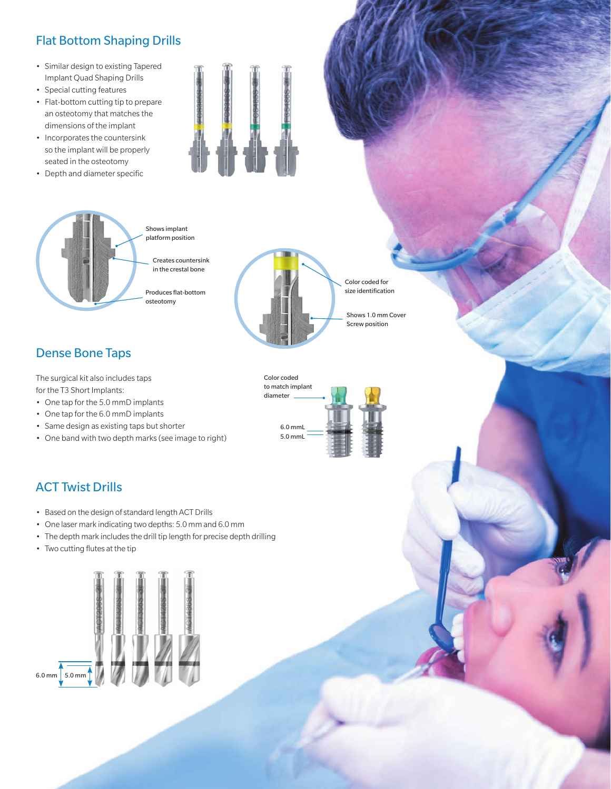### Flat Bottom Shaping Drills

- Similar design to existing Tapered Implant Quad Shaping Drills
- Special cutting features
- Flat-bottom cutting tip to prepare an osteotomy that matches the dimensions of the implant
- Incorporates the countersink so the implant will be properly seated in the osteotomy
- Depth and diameter specific





platform position

Produces flat-bottom

Color coded for size identification

> Shows 1.0 mm Cover Screw position

Dense Bone Taps

The surgical kit also includes taps for the T3 Short Implants:

- One tap for the 5.0 mmD implants
- One tap for the 6.0 mmD implants
- Same design as existing taps but shorter
- One band with two depth marks (see image to right) 5.0 mmL



#### ACT Twist Drills

- Based on the design of standard length ACT Drills
- One laser mark indicating two depths: 5.0 mm and 6.0 mm
- The depth mark includes the drill tip length for precise depth drilling
- Two cutting flutes at the tip

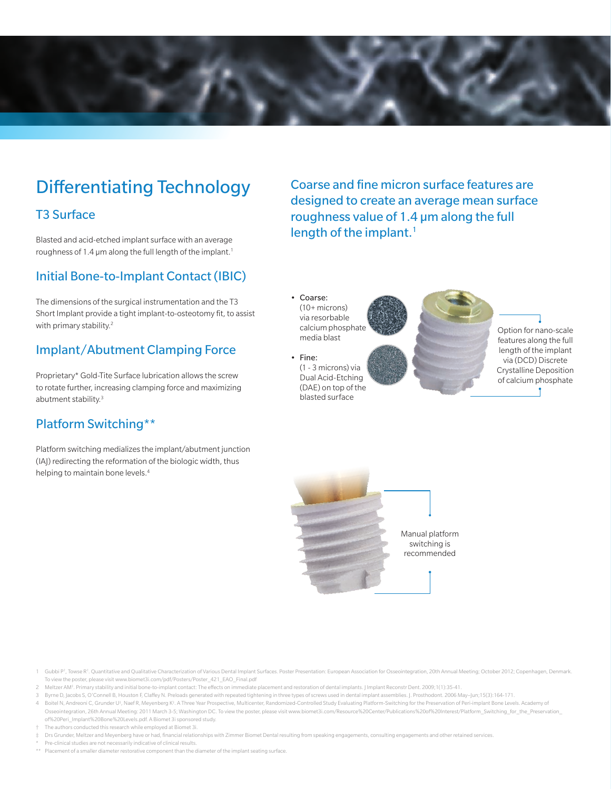

## Differentiating Technology

#### T3 Surface

Blasted and acid-etched implant surface with an average roughness of 1.4  $\mu$ m along the full length of the implant.<sup>1</sup>

#### Initial Bone-to-Implant Contact (IBIC)

The dimensions of the surgical instrumentation and the T3 Short Implant provide a tight implant-to-osteotomy fit, to assist with primary stability.<sup>2</sup>

#### Implant/Abutment Clamping Force

Proprietary\* Gold-Tite Surface lubrication allows the screw to rotate further, increasing clamping force and maximizing abutment stability.<sup>3</sup>

#### Platform Switching\*\*

Platform switching medializes the implant/abutment junction (IAJ) redirecting the reformation of the biologic width, thus helping to maintain bone levels.<sup>4</sup>

Coarse and fine micron surface features are designed to create an average mean surface roughness value of 1.4 µm along the full length of the implant.<sup>1</sup>

• Coarse: (10+ microns) via resorbable calcium phosphate media blast

• Fine: (1 - 3 microns) via Dual Acid-Etching (DAE) on top of the blasted surface

Option for nano-scale features along the full length of the implant via (DCD) Discrete Crystalline Deposition of calcium phosphate



1 Gubbi P<sup>r</sup>, Towse R<sup>1</sup>. Quantitative and Qualitative Characterization of Various Dental Implant Surfaces. Poster Presentation: European Association for Osseointegration, 20th Annual Meeting; October 2012; Copenhagen, Den To view the poster, please visit www.biomet3i.com/pdf/Posters/Poster\_421\_EAO\_Final.pdf

- 2 Meltzer AM‡ . Primary stability and initial bone-to-implant contact: The effects on immediate placement and restoration of dental implants. J Implant Reconstr Dent. 2009;1(1):35-41.
- 3 Byrne D, Jacobs S, O'Connell B, Houston F, Claffey N. Preloads generated with repeated tightening in three types of screws used in dental implant assemblies. J. Prosthodont. 2006 May–Jun;15(3):164-171.

4 Boitel N, Andreoni C, Grunder U‡, Naef R, Meyenberg K‡. A Three Year Prospective, Multicenter, Randomized-Controlled Study Evaluating Platform-Switching for the Preservation of Peri-implant Bone Levels. Academy of Osseointegration, 26th Annual Meeting: 2011 March 3-5; Washington DC. To view the poster, please visit www.biomet3i.com/Resource%20Center/Publications%20of%20Interest/Platform\_Switching\_for\_the\_Preservation\_ of%20Peri\_Implant%20Bone%20Levels.pdf. A Biomet 3i sponsored study.

- † The authors conducted this research while employed at Biomet 3i.
- Drs Grunder, Meltzer and Meyenberg have or had, financial relationships with Zimmer Biomet Dental resulting from speaking engagements, consulting engagements and other retained services. Pre-clinical studies are not necessarily indicative of clinical results.

\*\* Placement of a smaller diameter restorative component than the diameter of the implant seating surface